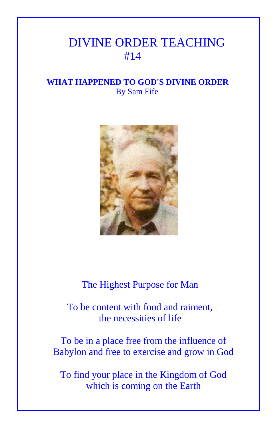## DIVINE ORDER TEACHING #14

## **WHAT HAPPENED TO GOD'S DIVINE ORDER** By Sam Fife



## The Highest Purpose for Man

 To be content with food and raiment, the necessities of life

To be in a place free from the influence of Babylon and free to exercise and grow in God

To find your place in the Kingdom of God which is coming on the Earth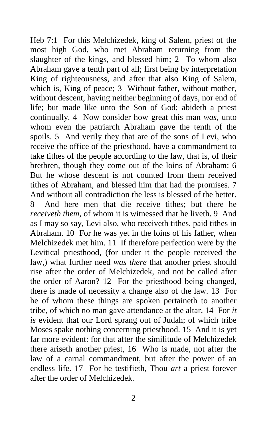Heb 7:1 For this Melchizedek, king of Salem, priest of the most high God, who met Abraham returning from the slaughter of the kings, and blessed him; 2 To whom also Abraham gave a tenth part of all; first being by interpretation King of righteousness, and after that also King of Salem, which is, King of peace; 3 Without father, without mother, without descent, having neither beginning of days, nor end of life; but made like unto the Son of God; abideth a priest continually. 4 Now consider how great this man *was,* unto whom even the patriarch Abraham gave the tenth of the spoils. 5 And verily they that are of the sons of Levi, who receive the office of the priesthood, have a commandment to take tithes of the people according to the law, that is, of their brethren, though they come out of the loins of Abraham: 6 But he whose descent is not counted from them received tithes of Abraham, and blessed him that had the promises. 7 And without all contradiction the less is blessed of the better. 8 And here men that die receive tithes; but there he *receiveth them,* of whom it is witnessed that he liveth. 9 And as I may so say, Levi also, who receiveth tithes, paid tithes in Abraham. 10 For he was yet in the loins of his father, when Melchizedek met him. 11 If therefore perfection were by the Levitical priesthood, (for under it the people received the law,) what further need *was there* that another priest should rise after the order of Melchizedek, and not be called after the order of Aaron? 12 For the priesthood being changed, there is made of necessity a change also of the law. 13 For he of whom these things are spoken pertaineth to another tribe, of which no man gave attendance at the altar. 14 For *it is* evident that our Lord sprang out of Judah; of which tribe Moses spake nothing concerning priesthood. 15 And it is yet far more evident: for that after the similitude of Melchizedek there ariseth another priest, 16 Who is made, not after the law of a carnal commandment, but after the power of an endless life. 17 For he testifieth, Thou *art* a priest forever after the order of Melchizedek.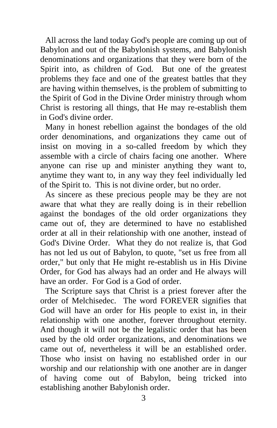All across the land today God's people are coming up out of Babylon and out of the Babylonish systems, and Babylonish denominations and organizations that they were born of the Spirit into, as children of God. But one of the greatest problems they face and one of the greatest battles that they are having within themselves, is the problem of submitting to the Spirit of God in the Divine Order ministry through whom Christ is restoring all things, that He may re-establish them in God's divine order.

Many in honest rebellion against the bondages of the old order denominations, and organizations they came out of insist on moving in a so-called freedom by which they assemble with a circle of chairs facing one another. Where anyone can rise up and minister anything they want to, anytime they want to, in any way they feel individually led of the Spirit to. This is not divine order, but no order.

As sincere as these precious people may be they are not aware that what they are really doing is in their rebellion against the bondages of the old order organizations they came out of, they are determined to have no established order at all in their relationship with one another, instead of God's Divine Order. What they do not realize is, that God has not led us out of Babylon, to quote, "set us free from all order," but only that He might re-establish us in His Divine Order, for God has always had an order and He always will have an order. For God is a God of order.

The Scripture says that Christ is a priest forever after the order of Melchisedec. The word FOREVER signifies that God will have an order for His people to exist in, in their relationship with one another, forever throughout eternity. And though it will not be the legalistic order that has been used by the old order organizations, and denominations we came out of, nevertheless it will be an established order. Those who insist on having no established order in our worship and our relationship with one another are in danger of having come out of Babylon, being tricked into establishing another Babylonish order.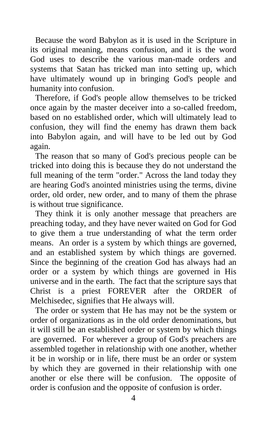Because the word Babylon as it is used in the Scripture in its original meaning, means confusion, and it is the word God uses to describe the various man-made orders and systems that Satan has tricked man into setting up, which have ultimately wound up in bringing God's people and humanity into confusion.

Therefore, if God's people allow themselves to be tricked once again by the master deceiver into a so-called freedom, based on no established order, which will ultimately lead to confusion, they will find the enemy has drawn them back into Babylon again, and will have to be led out by God again.

The reason that so many of God's precious people can be tricked into doing this is because they do not understand the full meaning of the term "order." Across the land today they are hearing God's anointed ministries using the terms, divine order, old order, new order, and to many of them the phrase is without true significance.

They think it is only another message that preachers are preaching today, and they have never waited on God for God to give them a true understanding of what the term order means. An order is a system by which things are governed, and an established system by which things are governed. Since the beginning of the creation God has always had an order or a system by which things are governed in His universe and in the earth. The fact that the scripture says that Christ is a priest FOREVER after the ORDER of Melchisedec, signifies that He always will.

The order or system that He has may not be the system or order of organizations as in the old order denominations, but it will still be an established order or system by which things are governed. For wherever a group of God's preachers are assembled together in relationship with one another, whether it be in worship or in life, there must be an order or system by which they are governed in their relationship with one another or else there will be confusion. The opposite of order is confusion and the opposite of confusion is order.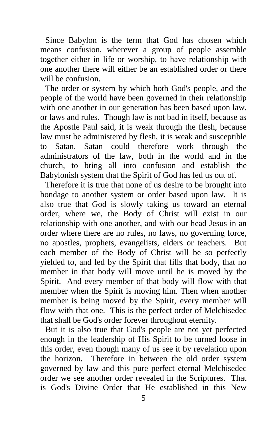Since Babylon is the term that God has chosen which means confusion, wherever a group of people assemble together either in life or worship, to have relationship with one another there will either be an established order or there will be confusion.

The order or system by which both God's people, and the people of the world have been governed in their relationship with one another in our generation has been based upon law, or laws and rules. Though law is not bad in itself, because as the Apostle Paul said, it is weak through the flesh, because law must be administered by flesh, it is weak and susceptible to Satan. Satan could therefore work through the administrators of the law, both in the world and in the church, to bring all into confusion and establish the Babylonish system that the Spirit of God has led us out of.

Therefore it is true that none of us desire to be brought into bondage to another system or order based upon law. It is also true that God is slowly taking us toward an eternal order, where we, the Body of Christ will exist in our relationship with one another, and with our head Jesus in an order where there are no rules, no laws, no governing force, no apostles, prophets, evangelists, elders or teachers. But each member of the Body of Christ will be so perfectly yielded to, and led by the Spirit that fills that body, that no member in that body will move until he is moved by the Spirit. And every member of that body will flow with that member when the Spirit is moving him. Then when another member is being moved by the Spirit, every member will flow with that one. This is the perfect order of Melchisedec that shall be God's order forever throughout eternity.

But it is also true that God's people are not yet perfected enough in the leadership of His Spirit to be turned loose in this order, even though many of us see it by revelation upon the horizon. Therefore in between the old order system governed by law and this pure perfect eternal Melchisedec order we see another order revealed in the Scriptures. That is God's Divine Order that He established in this New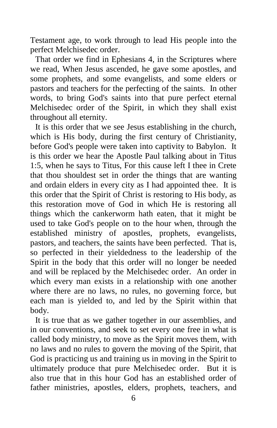Testament age, to work through to lead His people into the perfect Melchisedec order.

That order we find in Ephesians 4, in the Scriptures where we read, When Jesus ascended, he gave some apostles, and some prophets, and some evangelists, and some elders or pastors and teachers for the perfecting of the saints. In other words, to bring God's saints into that pure perfect eternal Melchisedec order of the Spirit, in which they shall exist throughout all eternity.

It is this order that we see Jesus establishing in the church, which is His body, during the first century of Christianity, before God's people were taken into captivity to Babylon. It is this order we hear the Apostle Paul talking about in Titus 1:5, when he says to Titus, For this cause left I thee in Crete that thou shouldest set in order the things that are wanting and ordain elders in every city as I had appointed thee. It is this order that the Spirit of Christ is restoring to His body, as this restoration move of God in which He is restoring all things which the cankerworm hath eaten, that it might be used to take God's people on to the hour when, through the established ministry of apostles, prophets, evangelists, pastors, and teachers, the saints have been perfected. That is, so perfected in their yieldedness to the leadership of the Spirit in the body that this order will no longer be needed and will be replaced by the Melchisedec order. An order in which every man exists in a relationship with one another where there are no laws, no rules, no governing force, but each man is yielded to, and led by the Spirit within that body.

It is true that as we gather together in our assemblies, and in our conventions, and seek to set every one free in what is called body ministry, to move as the Spirit moves them, with no laws and no rules to govern the moving of the Spirit, that God is practicing us and training us in moving in the Spirit to ultimately produce that pure Melchisedec order. But it is also true that in this hour God has an established order of father ministries, apostles, elders, prophets, teachers, and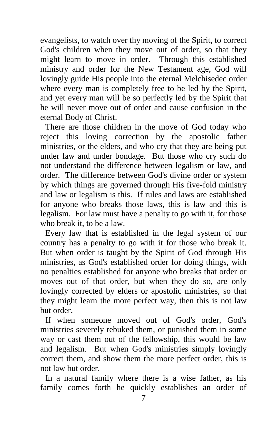evangelists, to watch over thy moving of the Spirit, to correct God's children when they move out of order, so that they might learn to move in order. Through this established ministry and order for the New Testament age, God will lovingly guide His people into the eternal Melchisedec order where every man is completely free to be led by the Spirit, and yet every man will be so perfectly led by the Spirit that he will never move out of order and cause confusion in the eternal Body of Christ.

There are those children in the move of God today who reject this loving correction by the apostolic father ministries, or the elders, and who cry that they are being put under law and under bondage. But those who cry such do not understand the difference between legalism or law, and order. The difference between God's divine order or system by which things are governed through His five-fold ministry and law or legalism is this. If rules and laws are established for anyone who breaks those laws, this is law and this is legalism. For law must have a penalty to go with it, for those who break it, to be a law.

Every law that is established in the legal system of our country has a penalty to go with it for those who break it. But when order is taught by the Spirit of God through His ministries, as God's established order for doing things, with no penalties established for anyone who breaks that order or moves out of that order, but when they do so, are only lovingly corrected by elders or apostolic ministries, so that they might learn the more perfect way, then this is not law but order.

If when someone moved out of God's order, God's ministries severely rebuked them, or punished them in some way or cast them out of the fellowship, this would be law and legalism. But when God's ministries simply lovingly correct them, and show them the more perfect order, this is not law but order.

In a natural family where there is a wise father, as his family comes forth he quickly establishes an order of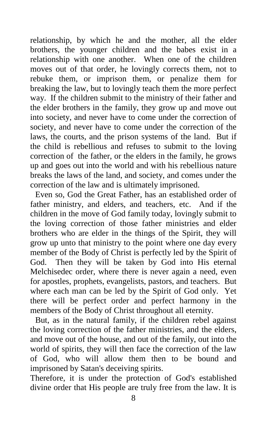relationship, by which he and the mother, all the elder brothers, the younger children and the babes exist in a relationship with one another. When one of the children moves out of that order, he lovingly corrects them, not to rebuke them, or imprison them, or penalize them for breaking the law, but to lovingly teach them the more perfect way. If the children submit to the ministry of their father and the elder brothers in the family, they grow up and move out into society, and never have to come under the correction of society, and never have to come under the correction of the laws, the courts, and the prison systems of the land. But if the child is rebellious and refuses to submit to the loving correction of the father, or the elders in the family, he grows up and goes out into the world and with his rebellious nature breaks the laws of the land, and society, and comes under the correction of the law and is ultimately imprisoned.

Even so, God the Great Father, has an established order of father ministry, and elders, and teachers, etc. And if the children in the move of God family today, lovingly submit to the loving correction of those father ministries and elder brothers who are elder in the things of the Spirit, they will grow up unto that ministry to the point where one day every member of the Body of Christ is perfectly led by the Spirit of God. Then they will be taken by God into His eternal Melchisedec order, where there is never again a need, even for apostles, prophets, evangelists, pastors, and teachers. But where each man can be led by the Spirit of God only. Yet there will be perfect order and perfect harmony in the members of the Body of Christ throughout all eternity.

But, as in the natural family, if the children rebel against the loving correction of the father ministries, and the elders, and move out of the house, and out of the family, out into the world of spirits, they will then face the correction of the law of God, who will allow them then to be bound and imprisoned by Satan's deceiving spirits.

Therefore, it is under the protection of God's established divine order that His people are truly free from the law. It is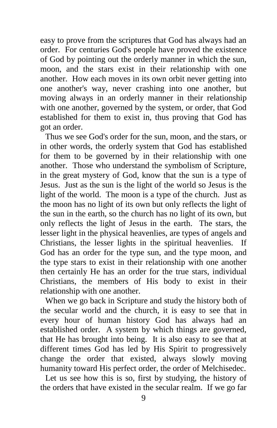easy to prove from the scriptures that God has always had an order. For centuries God's people have proved the existence of God by pointing out the orderly manner in which the sun, moon, and the stars exist in their relationship with one another. How each moves in its own orbit never getting into one another's way, never crashing into one another, but moving always in an orderly manner in their relationship with one another, governed by the system, or order, that God established for them to exist in, thus proving that God has got an order.

Thus we see God's order for the sun, moon, and the stars, or in other words, the orderly system that God has established for them to be governed by in their relationship with one another. Those who understand the symbolism of Scripture, in the great mystery of God, know that the sun is a type of Jesus. Just as the sun is the light of the world so Jesus is the light of the world. The moon is a type of the church. Just as the moon has no light of its own but only reflects the light of the sun in the earth, so the church has no light of its own, but only reflects the light of Jesus in the earth. The stars, the lesser light in the physical heavenlies, are types of angels and Christians, the lesser lights in the spiritual heavenlies. If God has an order for the type sun, and the type moon, and the type stars to exist in their relationship with one another then certainly He has an order for the true stars, individual Christians, the members of His body to exist in their relationship with one another.

When we go back in Scripture and study the history both of the secular world and the church, it is easy to see that in every hour of human history God has always had an established order. A system by which things are governed, that He has brought into being. It is also easy to see that at different times God has led by His Spirit to progressively change the order that existed, always slowly moving humanity toward His perfect order, the order of Melchisedec.

Let us see how this is so, first by studying, the history of the orders that have existed in the secular realm. If we go far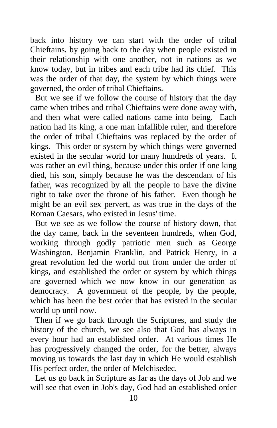back into history we can start with the order of tribal Chieftains, by going back to the day when people existed in their relationship with one another, not in nations as we know today, but in tribes and each tribe had its chief. This was the order of that day, the system by which things were governed, the order of tribal Chieftains.

But we see if we follow the course of history that the day came when tribes and tribal Chieftains were done away with, and then what were called nations came into being. Each nation had its king, a one man infallible ruler, and therefore the order of tribal Chieftains was replaced by the order of kings. This order or system by which things were governed existed in the secular world for many hundreds of years. It was rather an evil thing, because under this order if one king died, his son, simply because he was the descendant of his father, was recognized by all the people to have the divine right to take over the throne of his father. Even though he might be an evil sex pervert, as was true in the days of the Roman Caesars, who existed in Jesus' time.

But we see as we follow the course of history down, that the day came, back in the seventeen hundreds, when God, working through godly patriotic men such as George Washington, Benjamin Franklin, and Patrick Henry, in a great revolution led the world out from under the order of kings, and established the order or system by which things are governed which we now know in our generation as democracy. A government of the people, by the people, which has been the best order that has existed in the secular world up until now.

Then if we go back through the Scriptures, and study the history of the church, we see also that God has always in every hour had an established order. At various times He has progressively changed the order, for the better, always moving us towards the last day in which He would establish His perfect order, the order of Melchisedec.

Let us go back in Scripture as far as the days of Job and we will see that even in Job's day, God had an established order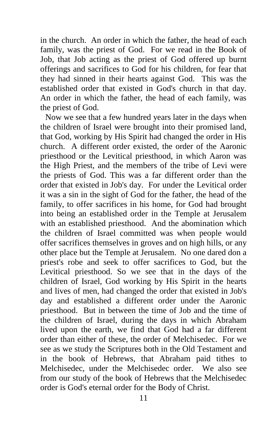in the church. An order in which the father, the head of each family, was the priest of God. For we read in the Book of Job, that Job acting as the priest of God offered up burnt offerings and sacrifices to God for his children, for fear that they had sinned in their hearts against God. This was the established order that existed in God's church in that day. An order in which the father, the head of each family, was the priest of God.

Now we see that a few hundred years later in the days when the children of Israel were brought into their promised land, that God, working by His Spirit had changed the order in His church. A different order existed, the order of the Aaronic priesthood or the Levitical priesthood, in which Aaron was the High Priest, and the members of the tribe of Levi were the priests of God. This was a far different order than the order that existed in Job's day. For under the Levitical order it was a sin in the sight of God for the father, the head of the family, to offer sacrifices in his home, for God had brought into being an established order in the Temple at Jerusalem with an established priesthood. And the abomination which the children of Israel committed was when people would offer sacrifices themselves in groves and on high hills, or any other place but the Temple at Jerusalem. No one dared don a priest's robe and seek to offer sacrifices to God, but the Levitical priesthood. So we see that in the days of the children of Israel, God working by His Spirit in the hearts and lives of men, had changed the order that existed in Job's day and established a different order under the Aaronic priesthood. But in between the time of Job and the time of the children of Israel, during the days in which Abraham lived upon the earth, we find that God had a far different order than either of these, the order of Melchisedec. For we see as we study the Scriptures both in the Old Testament and in the book of Hebrews, that Abraham paid tithes to Melchisedec, under the Melchisedec order. We also see from our study of the book of Hebrews that the Melchisedec order is God's eternal order for the Body of Christ.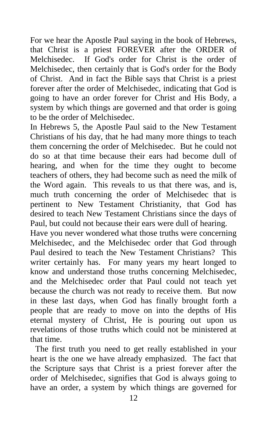For we hear the Apostle Paul saying in the book of Hebrews, that Christ is a priest FOREVER after the ORDER of Melchisedec. If God's order for Christ is the order of Melchisedec, then certainly that is God's order for the Body of Christ. And in fact the Bible says that Christ is a priest forever after the order of Melchisedec, indicating that God is going to have an order forever for Christ and His Body, a system by which things are governed and that order is going to be the order of Melchisedec.

In Hebrews 5, the Apostle Paul said to the New Testament Christians of his day, that he had many more things to teach them concerning the order of Melchisedec. But he could not do so at that time because their ears had become dull of hearing, and when for the time they ought to become teachers of others, they had become such as need the milk of the Word again. This reveals to us that there was, and is, much truth concerning the order of Melchisedec that is pertinent to New Testament Christianity, that God has desired to teach New Testament Christians since the days of Paul, but could not because their ears were dull of hearing.

Have you never wondered what those truths were concerning Melchisedec, and the Melchisedec order that God through Paul desired to teach the New Testament Christians? This writer certainly has. For many years my heart longed to know and understand those truths concerning Melchisedec, and the Melchisedec order that Paul could not teach yet because the church was not ready to receive them. But now in these last days, when God has finally brought forth a people that are ready to move on into the depths of His eternal mystery of Christ, He is pouring out upon us revelations of those truths which could not be ministered at that time.

The first truth you need to get really established in your heart is the one we have already emphasized. The fact that the Scripture says that Christ is a priest forever after the order of Melchisedec, signifies that God is always going to have an order, a system by which things are governed for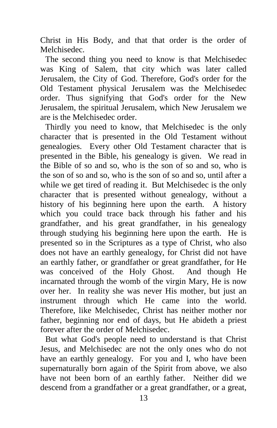Christ in His Body, and that that order is the order of Melchisedec.

The second thing you need to know is that Melchisedec was King of Salem, that city which was later called Jerusalem, the City of God. Therefore, God's order for the Old Testament physical Jerusalem was the Melchisedec order. Thus signifying that God's order for the New Jerusalem, the spiritual Jerusalem, which New Jerusalem we are is the Melchisedec order.

Thirdly you need to know, that Melchisedec is the only character that is presented in the Old Testament without genealogies. Every other Old Testament character that is presented in the Bible, his genealogy is given. We read in the Bible of so and so, who is the son of so and so, who is the son of so and so, who is the son of so and so, until after a while we get tired of reading it. But Melchisedec is the only character that is presented without genealogy, without a history of his beginning here upon the earth. A history which you could trace back through his father and his grandfather, and his great grandfather, in his genealogy through studying his beginning here upon the earth. He is presented so in the Scriptures as a type of Christ, who also does not have an earthly genealogy, for Christ did not have an earthly father, or grandfather or great grandfather, for He was conceived of the Holy Ghost. And though He incarnated through the womb of the virgin Mary, He is now over her. In reality she was never His mother, but just an instrument through which He came into the world. Therefore, like Melchisedec, Christ has neither mother nor father, beginning nor end of days, but He abideth a priest forever after the order of Melchisedec.

But what God's people need to understand is that Christ Jesus, and Melchisedec are not the only ones who do not have an earthly genealogy. For you and I, who have been supernaturally born again of the Spirit from above, we also have not been born of an earthly father. Neither did we descend from a grandfather or a great grandfather, or a great,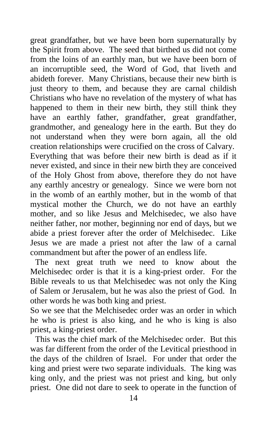great grandfather, but we have been born supernaturally by the Spirit from above. The seed that birthed us did not come from the loins of an earthly man, but we have been born of an incorruptible seed, the Word of God, that liveth and abideth forever. Many Christians, because their new birth is just theory to them, and because they are carnal childish Christians who have no revelation of the mystery of what has happened to them in their new birth, they still think they have an earthly father, grandfather, great grandfather, grandmother, and genealogy here in the earth. But they do not understand when they were born again, all the old creation relationships were crucified on the cross of Calvary. Everything that was before their new birth is dead as if it never existed, and since in their new birth they are conceived of the Holy Ghost from above, therefore they do not have any earthly ancestry or genealogy. Since we were born not in the womb of an earthly mother, but in the womb of that mystical mother the Church, we do not have an earthly mother, and so like Jesus and Melchisedec, we also have neither father, nor mother, beginning nor end of days, but we abide a priest forever after the order of Melchisedec. Like Jesus we are made a priest not after the law of a carnal commandment but after the power of an endless life.

The next great truth we need to know about the Melchisedec order is that it is a king-priest order. For the Bible reveals to us that Melchisedec was not only the King of Salem or Jerusalem, but he was also the priest of God. In other words he was both king and priest.

So we see that the Melchisedec order was an order in which he who is priest is also king, and he who is king is also priest, a king-priest order.

This was the chief mark of the Melchisedec order. But this was far different from the order of the Levitical priesthood in the days of the children of Israel. For under that order the king and priest were two separate individuals. The king was king only, and the priest was not priest and king, but only priest. One did not dare to seek to operate in the function of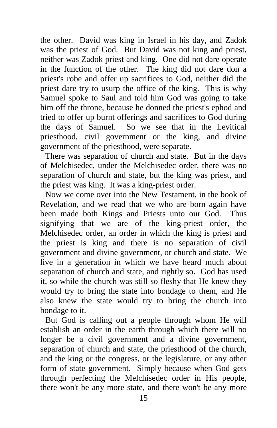the other. David was king in Israel in his day, and Zadok was the priest of God. But David was not king and priest, neither was Zadok priest and king. One did not dare operate in the function of the other. The king did not dare don a priest's robe and offer up sacrifices to God, neither did the priest dare try to usurp the office of the king. This is why Samuel spoke to Saul and told him God was going to take him off the throne, because he donned the priest's ephod and tried to offer up burnt offerings and sacrifices to God during the days of Samuel. So we see that in the Levitical priesthood, civil government or the king, and divine government of the priesthood, were separate.

There was separation of church and state. But in the days of Melchisedec, under the Melchisedec order, there was no separation of church and state, but the king was priest, and the priest was king. It was a king-priest order.

Now we come over into the New Testament, in the book of Revelation, and we read that we who are born again have been made both Kings and Priests unto our God. Thus signifying that we are of the king-priest order, the Melchisedec order, an order in which the king is priest and the priest is king and there is no separation of civil government and divine government, or church and state. We live in a generation in which we have heard much about separation of church and state, and rightly so. God has used it, so while the church was still so fleshy that He knew they would try to bring the state into bondage to them, and He also knew the state would try to bring the church into bondage to it.

But God is calling out a people through whom He will establish an order in the earth through which there will no longer be a civil government and a divine government, separation of church and state, the priesthood of the church, and the king or the congress, or the legislature, or any other form of state government. Simply because when God gets through perfecting the Melchisedec order in His people, there won't be any more state, and there won't be any more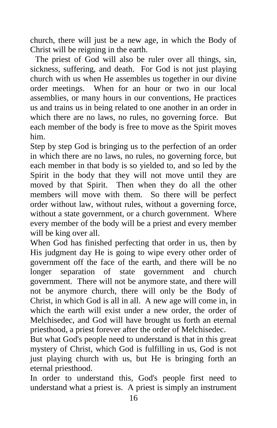church, there will just be a new age, in which the Body of Christ will be reigning in the earth.

The priest of God will also be ruler over all things, sin, sickness, suffering, and death. For God is not just playing church with us when He assembles us together in our divine order meetings. When for an hour or two in our local assemblies, or many hours in our conventions, He practices us and trains us in being related to one another in an order in which there are no laws, no rules, no governing force. But each member of the body is free to move as the Spirit moves him.

Step by step God is bringing us to the perfection of an order in which there are no laws, no rules, no governing force, but each member in that body is so yielded to, and so led by the Spirit in the body that they will not move until they are moved by that Spirit. Then when they do all the other members will move with them. So there will be perfect order without law, without rules, without a governing force, without a state government, or a church government. Where every member of the body will be a priest and every member will be king over all.

When God has finished perfecting that order in us, then by His judgment day He is going to wipe every other order of government off the face of the earth, and there will be no longer separation of state government and church government. There will not be anymore state, and there will not be anymore church, there will only be the Body of Christ, in which God is all in all. A new age will come in, in which the earth will exist under a new order, the order of Melchisedec, and God will have brought us forth an eternal priesthood, a priest forever after the order of Melchisedec.

But what God's people need to understand is that in this great mystery of Christ, which God is fulfilling in us, God is not just playing church with us, but He is bringing forth an eternal priesthood.

In order to understand this, God's people first need to understand what a priest is. A priest is simply an instrument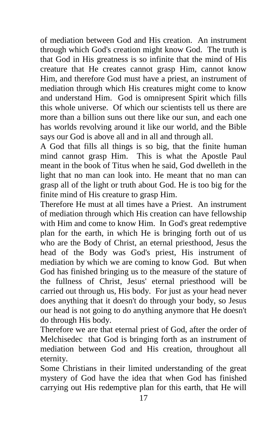of mediation between God and His creation. An instrument through which God's creation might know God. The truth is that God in His greatness is so infinite that the mind of His creature that He creates cannot grasp Him, cannot know Him, and therefore God must have a priest, an instrument of mediation through which His creatures might come to know and understand Him. God is omnipresent Spirit which fills this whole universe. Of which our scientists tell us there are more than a billion suns out there like our sun, and each one has worlds revolving around it like our world, and the Bible says our God is above all and in all and through all.

A God that fills all things is so big, that the finite human mind cannot grasp Him. This is what the Apostle Paul meant in the book of Titus when he said, God dwelleth in the light that no man can look into. He meant that no man can grasp all of the light or truth about God. He is too big for the finite mind of His creature to grasp Him.

Therefore He must at all times have a Priest. An instrument of mediation through which His creation can have fellowship with Him and come to know Him. In God's great redemptive plan for the earth, in which He is bringing forth out of us who are the Body of Christ, an eternal priesthood, Jesus the head of the Body was God's priest, His instrument of mediation by which we are coming to know God. But when God has finished bringing us to the measure of the stature of the fullness of Christ, Jesus' eternal priesthood will be carried out through us, His body. For just as your head never does anything that it doesn't do through your body, so Jesus our head is not going to do anything anymore that He doesn't do through His body.

Therefore we are that eternal priest of God, after the order of Melchisedec that God is bringing forth as an instrument of mediation between God and His creation, throughout all eternity.

Some Christians in their limited understanding of the great mystery of God have the idea that when God has finished carrying out His redemptive plan for this earth, that He will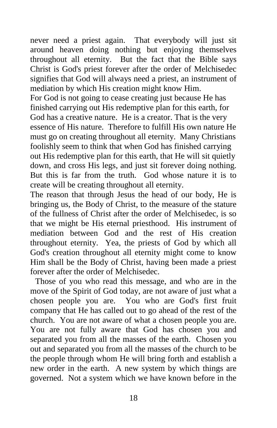never need a priest again. That everybody will just sit around heaven doing nothing but enjoying themselves throughout all eternity. But the fact that the Bible says Christ is God's priest forever after the order of Melchisedec signifies that God will always need a priest, an instrument of mediation by which His creation might know Him.

For God is not going to cease creating just because He has finished carrying out His redemptive plan for this earth, for God has a creative nature. He is a creator. That is the very essence of His nature. Therefore to fulfill His own nature He must go on creating throughout all eternity. Many Christians foolishly seem to think that when God has finished carrying out His redemptive plan for this earth, that He will sit quietly down, and cross His legs, and just sit forever doing nothing. But this is far from the truth. God whose nature it is to create will be creating throughout all eternity.

The reason that through Jesus the head of our body, He is bringing us, the Body of Christ, to the measure of the stature of the fullness of Christ after the order of Melchisedec, is so that we might be His eternal priesthood. His instrument of mediation between God and the rest of His creation throughout eternity. Yea, the priests of God by which all God's creation throughout all eternity might come to know Him shall be the Body of Christ, having been made a priest forever after the order of Melchisedec.

Those of you who read this message, and who are in the move of the Spirit of God today, are not aware of just what a chosen people you are. You who are God's first fruit company that He has called out to go ahead of the rest of the church. You are not aware of what a chosen people you are. You are not fully aware that God has chosen you and separated you from all the masses of the earth. Chosen you out and separated you from all the masses of the church to be the people through whom He will bring forth and establish a new order in the earth. A new system by which things are governed. Not a system which we have known before in the